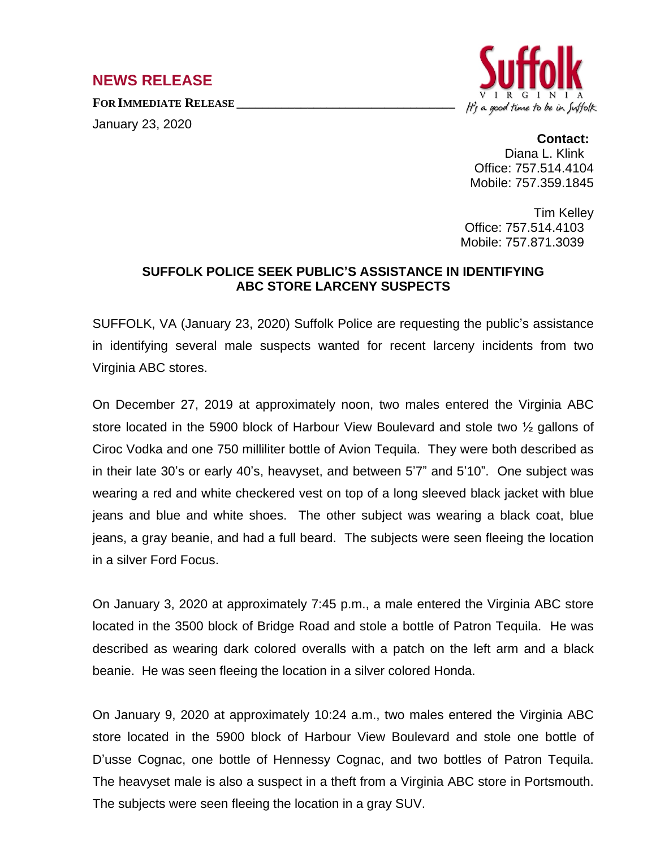## **NEWS RELEASE**

**FOR IMMEDIATE RELEASE \_\_\_\_\_\_\_\_\_\_\_\_\_\_\_\_\_\_\_\_\_\_\_\_\_\_\_\_\_\_\_\_\_\_**

January 23, 2020



**Contact:** Diana L. Klink Office: 757.514.4104 Mobile: 757.359.1845

Tim Kelley Office: 757.514.4103 Mobile: 757.871.3039

## **SUFFOLK POLICE SEEK PUBLIC'S ASSISTANCE IN IDENTIFYING ABC STORE LARCENY SUSPECTS**

SUFFOLK, VA (January 23, 2020) Suffolk Police are requesting the public's assistance in identifying several male suspects wanted for recent larceny incidents from two Virginia ABC stores.

On December 27, 2019 at approximately noon, two males entered the Virginia ABC store located in the 5900 block of Harbour View Boulevard and stole two ½ gallons of Ciroc Vodka and one 750 milliliter bottle of Avion Tequila. They were both described as in their late 30's or early 40's, heavyset, and between 5'7" and 5'10". One subject was wearing a red and white checkered vest on top of a long sleeved black jacket with blue jeans and blue and white shoes. The other subject was wearing a black coat, blue jeans, a gray beanie, and had a full beard. The subjects were seen fleeing the location in a silver Ford Focus.

On January 3, 2020 at approximately 7:45 p.m., a male entered the Virginia ABC store located in the 3500 block of Bridge Road and stole a bottle of Patron Tequila. He was described as wearing dark colored overalls with a patch on the left arm and a black beanie. He was seen fleeing the location in a silver colored Honda.

On January 9, 2020 at approximately 10:24 a.m., two males entered the Virginia ABC store located in the 5900 block of Harbour View Boulevard and stole one bottle of D'usse Cognac, one bottle of Hennessy Cognac, and two bottles of Patron Tequila. The heavyset male is also a suspect in a theft from a Virginia ABC store in Portsmouth. The subjects were seen fleeing the location in a gray SUV.